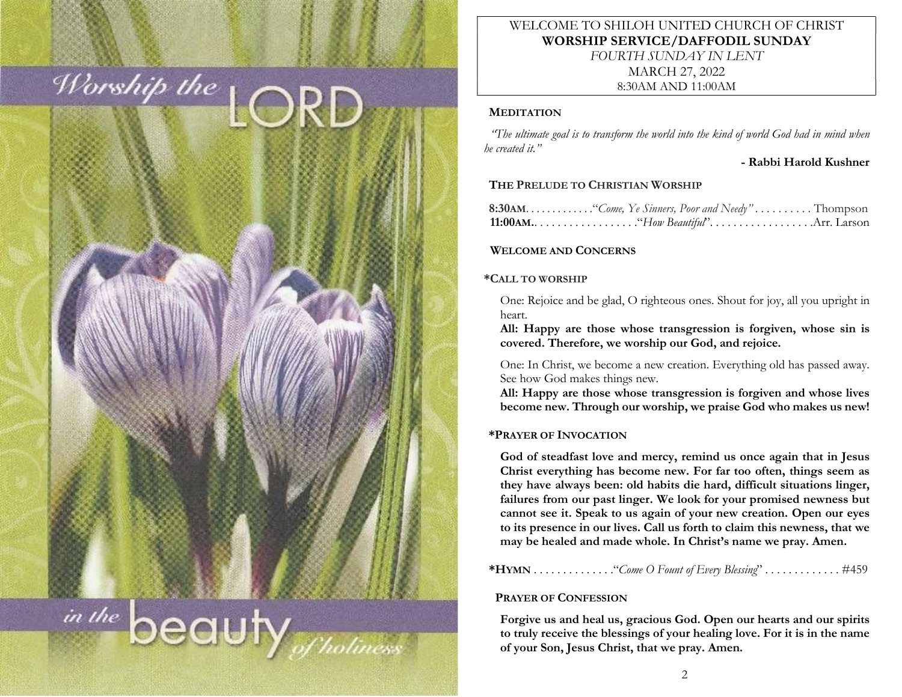

# WELCOME TO SHILOH UNITED CHURCH OF CHRIST WORSHIP SERVICE/DAFFODIL SUNDAY FOURTH SUNDAY IN LENT MARCH 27, 2022 8:30AM AND 11:00AM

## **MEDITATION**

 "The ultimate goal is to transform the world into the kind of world God had in mind when he created it."

## - Rabbi Harold Kushner

# THE PRELUDE TO CHRISTIAN WORSHIP

|  | <b>11:00AM.</b> $\ldots \ldots \ldots \ldots \ldots$ "How Beautiful". $\ldots \ldots \ldots \ldots \ldots$ Arr. Larson |
|--|------------------------------------------------------------------------------------------------------------------------|

# WELCOME AND CONCERNS

## \*CALL TO WORSHIP

One: Rejoice and be glad, O righteous ones. Shout for joy, all you upright in heart.

All: Happy are those whose transgression is forgiven, whose sin is covered. Therefore, we worship our God, and rejoice.

One: In Christ, we become a new creation. Everything old has passed away. See how God makes things new.

All: Happy are those whose transgression is forgiven and whose lives become new. Through our worship, we praise God who makes us new!

# \*PRAYER OF INVOCATION

God of steadfast love and mercy, remind us once again that in Jesus Christ everything has become new. For far too often, things seem as they have always been: old habits die hard, difficult situations linger, failures from our past linger. We look for your promised newness but cannot see it. Speak to us again of your new creation. Open our eyes to its presence in our lives. Call us forth to claim this newness, that we may be healed and made whole. In Christ's name we pray. Amen.

\*HYMN . . . . . . . . . . . . . ."Come O Fount of Every Blessing" . . . . . . . . . . . . . #459

# PRAYER OF CONFESSION

Forgive us and heal us, gracious God. Open our hearts and our spirits to truly receive the blessings of your healing love. For it is in the name of your Son, Jesus Christ, that we pray. Amen.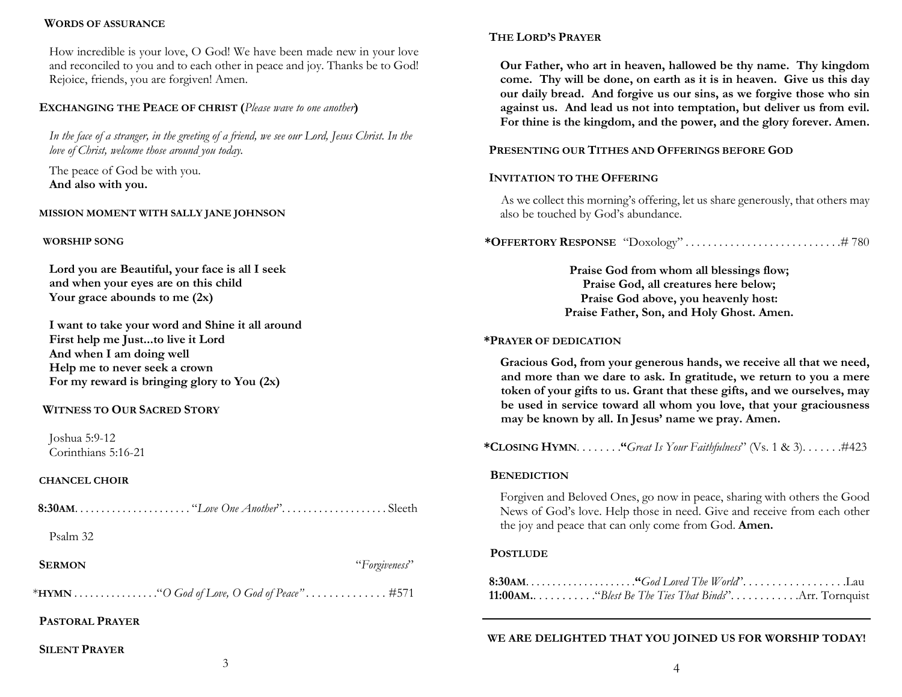### WORDS OF ASSURANCE

How incredible is your love, O God! We have been made new in your love and reconciled to you and to each other in peace and joy. Thanks be to God! Rejoice, friends, you are forgiven! Amen.

### EXCHANGING THE PEACE OF CHRIST (Please wave to one another)

In the face of a stranger, in the greeting of a friend, we see our Lord, Jesus Christ. In the love of Christ, welcome those around you today.

The peace of God be with you. And also with you.

#### MISSION MOMENT WITH SALLY JANE JOHNSON

#### WORSHIP SONG

Lord you are Beautiful, your face is all I seek and when your eyes are on this child Your grace abounds to me  $(2x)$ 

I want to take your word and Shine it all around First help me Just...to live it Lord And when I am doing well Help me to never seek a crown For my reward is bringing glory to You (2x)

## WITNESS TO OUR SACRED STORY

Joshua 5:9-12 Corinthians 5:16-21

#### CHANCEL CHOIR

| Psalm 32      |               |
|---------------|---------------|
| <b>SERMON</b> | "Forgiveness" |

\*HYMN . . . . . . . . . . . . . . . ."O God of Love, O God of Peace" . . . . . . . . . . . . . . #571

## PASTORAL PRAYER

SILENT PRAYER

# THE LORD'S PRAYER

Our Father, who art in heaven, hallowed be thy name. Thy kingdom come. Thy will be done, on earth as it is in heaven. Give us this day our daily bread. And forgive us our sins, as we forgive those who sin against us. And lead us not into temptation, but deliver us from evil. For thine is the kingdom, and the power, and the glory forever. Amen.

## PRESENTING OUR TITHES AND OFFERINGS BEFORE GOD

## INVITATION TO THE OFFERING

As we collect this morning's offering, let us share generously, that others may also be touched by God's abundance.

\*OFFERTORY RESPONSE "Doxology" . . . . . . . . . . . . . . . . . . . . . . . . . . . .# 780

Praise God from whom all blessings flow; Praise God, all creatures here below; Praise God above, you heavenly host: Praise Father, Son, and Holy Ghost. Amen.

#### \*PRAYER OF DEDICATION

Gracious God, from your generous hands, we receive all that we need, and more than we dare to ask. In gratitude, we return to you a mere token of your gifts to us. Grant that these gifts, and we ourselves, may be used in service toward all whom you love, that your graciousness may be known by all. In Jesus' name we pray. Amen.

\*CLOSING HYMN.  $\dots \dots$  "Great Is Your Faithfulness" (Vs. 1 & 3).  $\dots \dots$  #423

#### **BENEDICTION**

Forgiven and Beloved Ones, go now in peace, sharing with others the Good News of God's love. Help those in need. Give and receive from each other the joy and peace that can only come from God. Amen.

#### **POSTLUDE**

| <b>11:00 AM.</b> $\dots \dots \dots$ "Blest Be The Ties That Binds" $\dots \dots \dots$ Arr. Tornquist |  |
|--------------------------------------------------------------------------------------------------------|--|

## WE ARE DELIGHTED THAT YOU JOINED US FOR WORSHIP TODAY!

3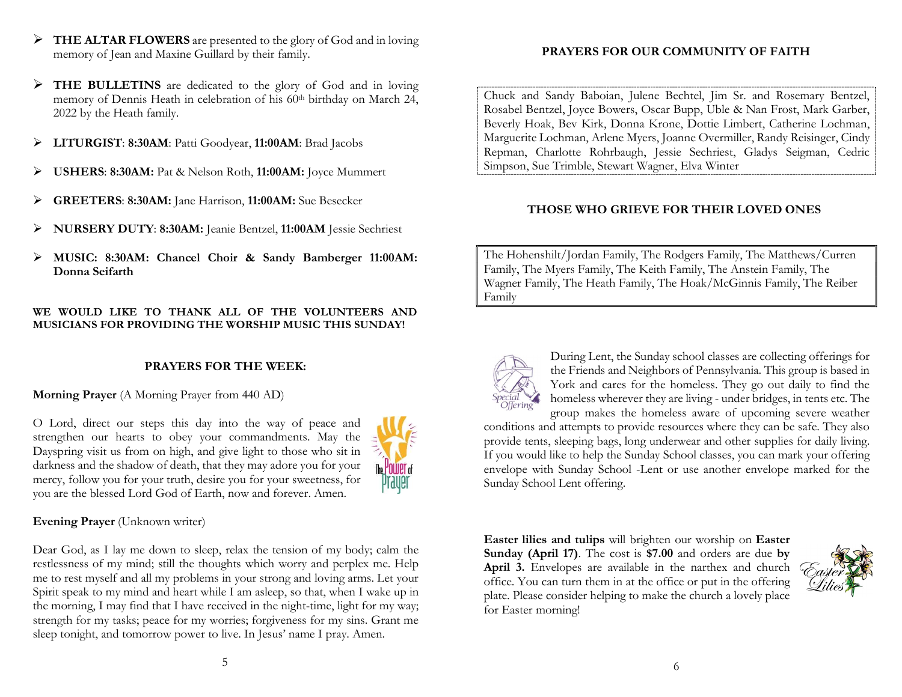- > THE ALTAR FLOWERS are presented to the glory of God and in loving memory of Jean and Maxine Guillard by their family.
- THE BULLETINS are dedicated to the glory of God and in loving memory of Dennis Heath in celebration of his 60<sup>th</sup> birthday on March 24, 2022 by the Heath family.
- LITURGIST: 8:30AM: Patti Goodyear, 11:00AM: Brad Jacobs
- USHERS: 8:30AM: Pat & Nelson Roth, 11:00AM: Joyce Mummert
- GREETERS: 8:30AM: Jane Harrison, 11:00AM: Sue Besecker
- NURSERY DUTY: 8:30AM: Jeanie Bentzel, 11:00AM Jessie Sechriest
- MUSIC: 8:30AM: Chancel Choir & Sandy Bamberger 11:00AM: Donna Seifarth

## WE WOULD LIKE TO THANK ALL OF THE VOLUNTEERS AND MUSICIANS FOR PROVIDING THE WORSHIP MUSIC THIS SUNDAY!

# PRAYERS FOR THE WEEK:

Morning Prayer (A Morning Prayer from 440 AD)

O Lord, direct our steps this day into the way of peace and strengthen our hearts to obey your commandments. May the Dayspring visit us from on high, and give light to those who sit in darkness and the shadow of death, that they may adore you for your mercy, follow you for your truth, desire you for your sweetness, for you are the blessed Lord God of Earth, now and forever. Amen.



# Evening Prayer (Unknown writer)

Dear God, as I lay me down to sleep, relax the tension of my body; calm the restlessness of my mind; still the thoughts which worry and perplex me. Help me to rest myself and all my problems in your strong and loving arms. Let your Spirit speak to my mind and heart while I am asleep, so that, when I wake up in the morning, I may find that I have received in the night-time, light for my way; strength for my tasks; peace for my worries; forgiveness for my sins. Grant me sleep tonight, and tomorrow power to live. In Jesus' name I pray. Amen.

# PRAYERS FOR OUR COMMUNITY OF FAITH

Chuck and Sandy Baboian, Julene Bechtel, Jim Sr. and Rosemary Bentzel, Rosabel Bentzel, Joyce Bowers, Oscar Bupp, Uble & Nan Frost, Mark Garber, Beverly Hoak, Bev Kirk, Donna Krone, Dottie Limbert, Catherine Lochman, Marguerite Lochman, Arlene Myers, Joanne Overmiller, Randy Reisinger, Cindy Repman, Charlotte Rohrbaugh, Jessie Sechriest, Gladys Seigman, Cedric Simpson, Sue Trimble, Stewart Wagner, Elva Winter

# THOSE WHO GRIEVE FOR THEIR LOVED ONES

The Hohenshilt/Jordan Family, The Rodgers Family, The Matthews/Curren Family, The Myers Family, The Keith Family, The Anstein Family, The Wagner Family, The Heath Family, The Hoak/McGinnis Family, The Reiber Family



During Lent, the Sunday school classes are collecting offerings for the Friends and Neighbors of Pennsylvania. This group is based in York and cares for the homeless. They go out daily to find the homeless wherever they are living - under bridges, in tents etc. The group makes the homeless aware of upcoming severe weather

conditions and attempts to provide resources where they can be safe. They also provide tents, sleeping bags, long underwear and other supplies for daily living. If you would like to help the Sunday School classes, you can mark your offering envelope with Sunday School -Lent or use another envelope marked for the Sunday School Lent offering.

Easter lilies and tulips will brighten our worship on Easter Sunday (April 17). The cost is \$7.00 and orders are due by April 3. Envelopes are available in the narthex and church office. You can turn them in at the office or put in the offering plate. Please consider helping to make the church a lovely place for Easter morning!